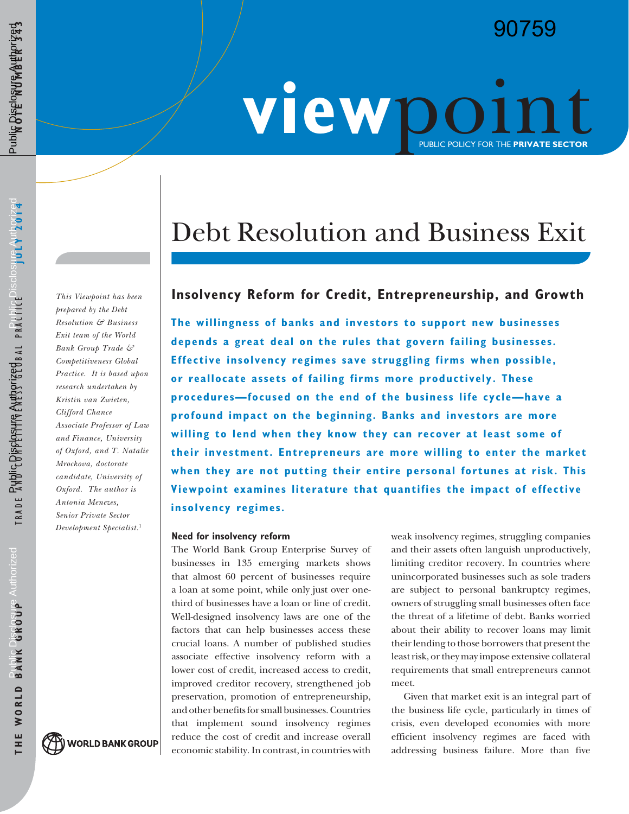# 90759

# WIEW DO LINT

# Debt Resolution and Business Exit

# *This Viewpoint has been* **Insolvency Reform for Credit, Entrepreneurship, and Growth**

**The willingness of banks and investors to support new businesses depends a great deal on the rules that govern failing businesses. Effective insolvency regimes save struggling firms when possible, or reallocate assets of failing firms more productively. These procedures—focused on the end of the business life cycle—have a profound impact on the beginning. Banks and investors are more willing to lend when they know they can recover at least some of their investment. Entrepreneurs are more willing to enter the market when they are not putting their entire personal fortunes at risk. This Viewpoint examines literature that quantifies the impact of effective insolvency regimes.**

#### **Need for insolvency reform**

The World Bank Group Enterprise Survey of businesses in 135 emerging markets shows that almost 60 percent of businesses require a loan at some point, while only just over onethird of businesses have a loan or line of credit. Well-designed insolvency laws are one of the factors that can help businesses access these crucial loans. A number of published studies associate effective insolvency reform with a lower cost of credit, increased access to credit, improved creditor recovery, strengthened job preservation, promotion of entrepreneurship, and other benefits for small businesses. Countries that implement sound insolvency regimes reduce the cost of credit and increase overall economic stability. In contrast, in countries with

weak insolvency regimes, struggling companies and their assets often languish unproductively, limiting creditor recovery. In countries where unincorporated businesses such as sole traders are subject to personal bankruptcy regimes, owners of struggling small businesses often face the threat of a lifetime of debt. Banks worried about their ability to recover loans may limit their lending to those borrowers that present the least risk, or they may impose extensive collateral requirements that small entrepreneurs cannot meet.

Given that market exit is an integral part of the business life cycle, particularly in times of crisis, even developed economies with more efficient insolvency regimes are faced with addressing business failure. More than five

*prepared by the Debt Resolution & Business Exit team of the World Bank Group Trade & Competitiveness Global Practice. It is based upon research undertaken by Kristin van Zwieten, Clifford Chance Associate Professor of Law and Finance, University of Oxford, and T. Natalie Mrockova, doctorate candidate, University of Oxford. The author is Antonia Menezes, Senior Private Sector Development Specialist.*<sup>1</sup>

**WORLD BANK GROUP**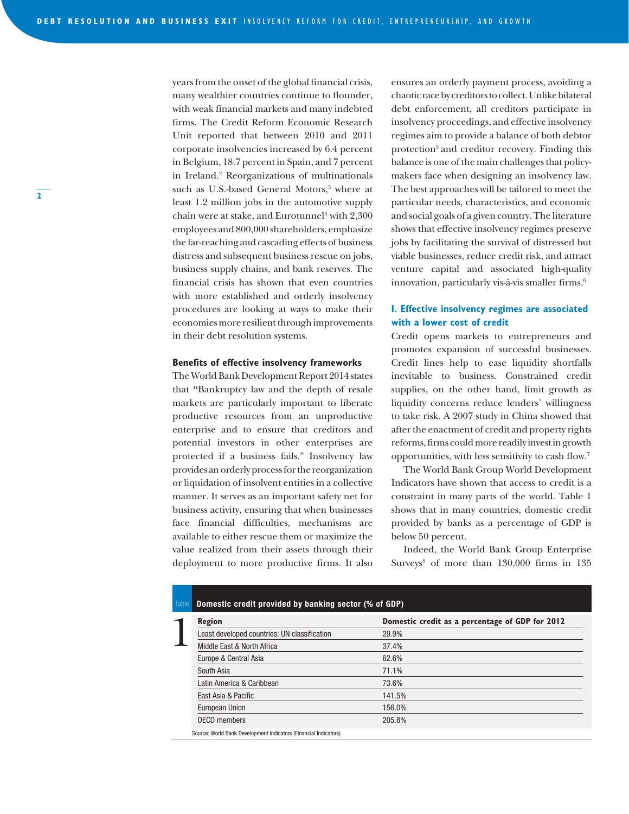years from the onset of the global financial crisis, many wealthier countries continue to flounder, with weak financial markets and many indebted firms. The Credit Reform Economic Research Unit reported that between 2010 and 2011 corporate insolvencies increased by 6.4 percent in Belgium, 18.7 percent in Spain, and 7 percent in Ireland.2 Reorganizations of multinationals such as U.S.-based General Motors,<sup>3</sup> where at least 1.2 million jobs in the automotive supply chain were at stake, and Eurotunnel<sup>4</sup> with 2,300 employees and 800,000 shareholders, emphasize the far-reaching and cascading effects of business distress and subsequent business rescue on jobs, business supply chains, and bank reserves. The financial crisis has shown that even countries with more established and orderly insolvency procedures are looking at ways to make their economies more resilient through improvements in their debt resolution systems.

#### **Benefits of effective insolvency frameworks**

The World Bank Development Report 2014 states that **"**Bankruptcy law and the depth of resale markets are particularly important to liberate productive resources from an unproductive enterprise and to ensure that creditors and potential investors in other enterprises are protected if a business fails." Insolvency law provides an orderly process for the reorganization or liquidation of insolvent entities in a collective manner. It serves as an important safety net for business activity, ensuring that when businesses face financial difficulties, mechanisms are available to either rescue them or maximize the value realized from their assets through their deployment to more productive firms. It also

ensures an orderly payment process, avoiding a chaotic race by creditors to collect. Unlike bilateral debt enforcement, all creditors participate in insolvency proceedings, and effective insolvency regimes aim to provide a balance of both debtor protection<sup>5</sup> and creditor recovery. Finding this balance is one of the main challenges that policymakers face when designing an insolvency law. The best approaches will be tailored to meet the particular needs, characteristics, and economic and social goals of a given country. The literature shows that effective insolvency regimes preserve jobs by facilitating the survival of distressed but viable businesses, reduce credit risk, and attract venture capital and associated high-quality innovation, particularly vis-à-vis smaller firms.<sup>6</sup>

#### **I. Effective insolvency regimes are associated with a lower cost of credit**

Credit opens markets to entrepreneurs and promotes expansion of successful businesses. Credit lines help to ease liquidity shortfalls inevitable to business. Constrained credit supplies, on the other hand, limit growth as liquidity concerns reduce lenders' willingness to take risk. A 2007 study in China showed that after the enactment of credit and property rights reforms, firms could more readily invest in growth opportunities, with less sensitivity to cash flow.7

The World Bank Group World Development Indicators have shown that access to credit is a constraint in many parts of the world. Table 1 shows that in many countries, domestic credit provided by banks as a percentage of GDP is below 50 percent.

Indeed, the World Bank Group Enterprise Surveys<sup>8</sup> of more than 130,000 firms in 135

| Table | Domestic credit provided by banking sector (% of GDP)            |                                                 |  |
|-------|------------------------------------------------------------------|-------------------------------------------------|--|
|       | <b>Region</b>                                                    | Domestic credit as a percentage of GDP for 2012 |  |
|       | Least developed countries: UN classification                     | 29.9%                                           |  |
|       | Middle East & North Africa                                       | 37.4%                                           |  |
|       | Europe & Central Asia                                            | 62.6%                                           |  |
|       | South Asia                                                       | 71.1%                                           |  |
|       | Latin America & Caribbean                                        | 73.6%                                           |  |
|       | East Asia & Pacific                                              | 141.5%                                          |  |
|       | European Union                                                   | 156.0%                                          |  |
|       | <b>OECD</b> members                                              | 205.8%                                          |  |
|       | Source: World Bank Development Indicators (Financial Indicators) |                                                 |  |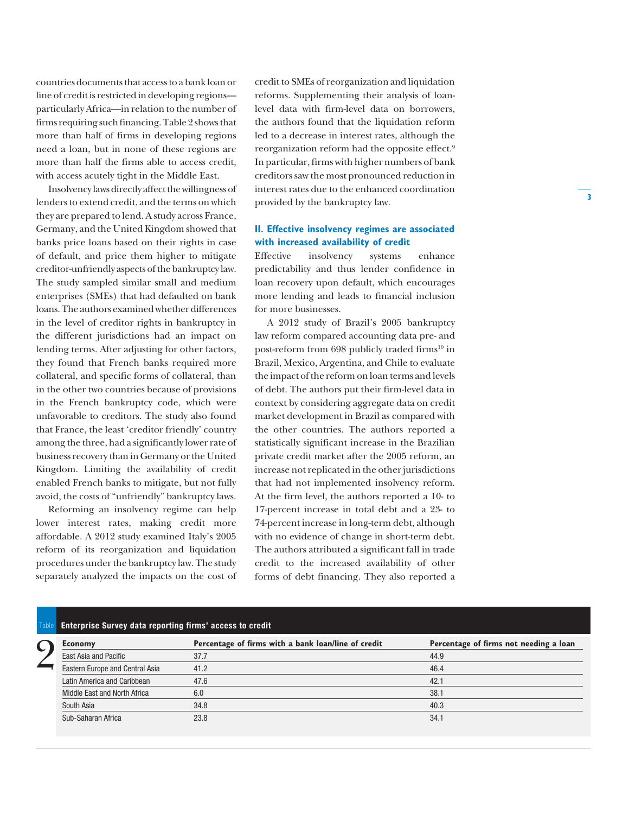countries documents that access to a bank loan or line of credit is restricted in developing regions particularly Africa—in relation to the number of firms requiring such financing. Table 2 shows that more than half of firms in developing regions need a loan, but in none of these regions are more than half the firms able to access credit, with access acutely tight in the Middle East.

Insolvency laws directly affect the willingness of lenders to extend credit, and the terms on which they are prepared to lend. A study across France, Germany, and the United Kingdom showed that banks price loans based on their rights in case of default, and price them higher to mitigate creditor-unfriendly aspects of the bankruptcy law. The study sampled similar small and medium enterprises (SMEs) that had defaulted on bank loans. The authors examined whether differences in the level of creditor rights in bankruptcy in the different jurisdictions had an impact on lending terms. After adjusting for other factors, they found that French banks required more collateral, and specific forms of collateral, than in the other two countries because of provisions in the French bankruptcy code, which were unfavorable to creditors. The study also found that France, the least 'creditor friendly' country among the three, had a significantly lower rate of business recovery than in Germany or the United Kingdom. Limiting the availability of credit enabled French banks to mitigate, but not fully avoid, the costs of "unfriendly" bankruptcy laws.

Reforming an insolvency regime can help lower interest rates, making credit more affordable. A 2012 study examined Italy's 2005 reform of its reorganization and liquidation procedures under the bankruptcy law. The study separately analyzed the impacts on the cost of credit to SMEs of reorganization and liquidation reforms. Supplementing their analysis of loanlevel data with firm-level data on borrowers, the authors found that the liquidation reform led to a decrease in interest rates, although the reorganization reform had the opposite effect.9 In particular, firms with higher numbers of bank creditors saw the most pronounced reduction in interest rates due to the enhanced coordination provided by the bankruptcy law.

### **II. Effective insolvency regimes are associated with increased availability of credit**

Effective insolvency systems enhance predictability and thus lender confidence in loan recovery upon default, which encourages more lending and leads to financial inclusion for more businesses.

A 2012 study of Brazil's 2005 bankruptcy law reform compared accounting data pre- and post-reform from 698 publicly traded firms<sup>10</sup> in Brazil, Mexico, Argentina, and Chile to evaluate the impact of the reform on loan terms and levels of debt. The authors put their firm-level data in context by considering aggregate data on credit market development in Brazil as compared with the other countries. The authors reported a statistically significant increase in the Brazilian private credit market after the 2005 reform, an increase not replicated in the other jurisdictions that had not implemented insolvency reform. At the firm level, the authors reported a 10- to 17-percent increase in total debt and a 23- to 74-percent increase in long-term debt, although with no evidence of change in short-term debt. The authors attributed a significant fall in trade credit to the increased availability of other forms of debt financing. They also reported a

## **Enterprise Survey data reporting firms' access to credit**

| ► | <b>Economy</b>                  | Percentage of firms with a bank loan/line of credit | Percentage of firms not needing a loan |
|---|---------------------------------|-----------------------------------------------------|----------------------------------------|
|   | East Asia and Pacific           | 37.7                                                | 44.9                                   |
|   | Eastern Europe and Central Asia | 41.2                                                | 46.4                                   |
|   | Latin America and Caribbean     | 47.6                                                | 42.1                                   |
|   | Middle East and North Africa    | 6.0                                                 | 38.1                                   |
|   | South Asia                      | 34.8                                                | 40.3                                   |
|   | Sub-Saharan Africa              | 23.8                                                | 34.1                                   |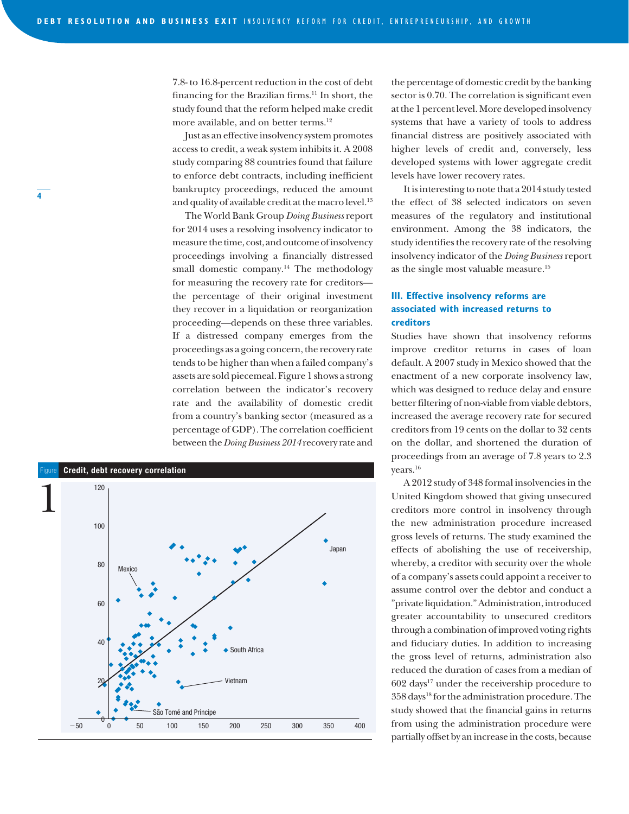7.8- to 16.8-percent reduction in the cost of debt financing for the Brazilian firms.<sup>11</sup> In short, the study found that the reform helped make credit more available, and on better terms.12

Just as an effective insolvency system promotes access to credit, a weak system inhibits it. A 2008 study comparing 88 countries found that failure to enforce debt contracts, including inefficient bankruptcy proceedings, reduced the amount and quality of available credit at the macro level.<sup>13</sup>

The World Bank Group *Doing Business* report for 2014 uses a resolving insolvency indicator to measure the time, cost, and outcome of insolvency proceedings involving a financially distressed small domestic company.<sup>14</sup> The methodology for measuring the recovery rate for creditors the percentage of their original investment they recover in a liquidation or reorganization proceeding—depends on these three variables. If a distressed company emerges from the proceedings as a going concern, the recovery rate tends to be higher than when a failed company's assets are sold piecemeal. Figure 1 shows a strong correlation between the indicator's recovery rate and the availability of domestic credit from a country's banking sector (measured as a percentage of GDP). The correlation coefficient between the *Doing Business 2014* recovery rate and



the percentage of domestic credit by the banking sector is 0.70. The correlation is significant even at the 1 percent level. More developed insolvency systems that have a variety of tools to address financial distress are positively associated with higher levels of credit and, conversely, less developed systems with lower aggregate credit levels have lower recovery rates.

It is interesting to note that a 2014 study tested the effect of 38 selected indicators on seven measures of the regulatory and institutional environment. Among the 38 indicators, the study identifies the recovery rate of the resolving insolvency indicator of the *Doing Business* report as the single most valuable measure.15

## **III. Effective insolvency reforms are associated with increased returns to creditors**

Studies have shown that insolvency reforms improve creditor returns in cases of loan default. A 2007 study in Mexico showed that the enactment of a new corporate insolvency law, which was designed to reduce delay and ensure better filtering of non-viable from viable debtors, increased the average recovery rate for secured creditors from 19 cents on the dollar to 32 cents on the dollar, and shortened the duration of proceedings from an average of 7.8 years to 2.3 years.16

A 2012 study of 348 formal insolvencies in the United Kingdom showed that giving unsecured creditors more control in insolvency through the new administration procedure increased gross levels of returns. The study examined the effects of abolishing the use of receivership, whereby, a creditor with security over the whole of a company's assets could appoint a receiver to assume control over the debtor and conduct a "private liquidation." Administration, introduced greater accountability to unsecured creditors through a combination of improved voting rights and fiduciary duties. In addition to increasing the gross level of returns, administration also reduced the duration of cases from a median of 602 days17 under the receivership procedure to 358 days18 for the administration procedure. The study showed that the financial gains in returns from using the administration procedure were partially offset by an increase in the costs, because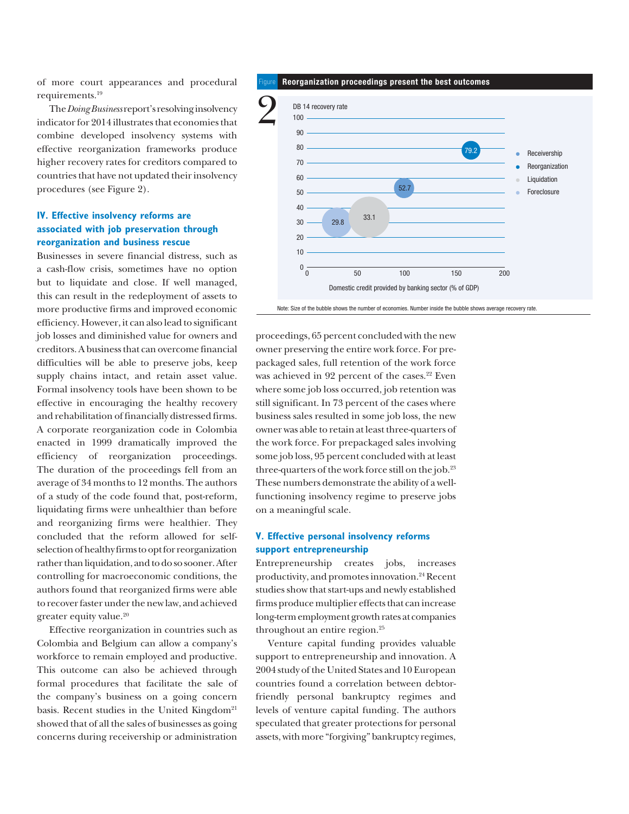of more court appearances and procedural requirements.19

The *Doing Business* report's resolving insolvency indicator for 2014 illustrates that economies that combine developed insolvency systems with effective reorganization frameworks produce higher recovery rates for creditors compared to countries that have not updated their insolvency procedures (see Figure 2).

### **IV. Effective insolvency reforms are associated with job preservation through reorganization and business rescue**

Businesses in severe financial distress, such as a cash-flow crisis, sometimes have no option but to liquidate and close. If well managed, this can result in the redeployment of assets to more productive firms and improved economic efficiency. However, it can also lead to significant job losses and diminished value for owners and creditors. A business that can overcome financial difficulties will be able to preserve jobs, keep supply chains intact, and retain asset value. Formal insolvency tools have been shown to be effective in encouraging the healthy recovery and rehabilitation of financially distressed firms. A corporate reorganization code in Colombia enacted in 1999 dramatically improved the efficiency of reorganization proceedings. The duration of the proceedings fell from an average of 34 months to 12 months. The authors of a study of the code found that, post-reform, liquidating firms were unhealthier than before and reorganizing firms were healthier. They concluded that the reform allowed for selfselection of healthy firms to opt for reorganization rather than liquidation, and to do so sooner. After controlling for macroeconomic conditions, the authors found that reorganized firms were able to recover faster under the new law, and achieved greater equity value.20

Effective reorganization in countries such as Colombia and Belgium can allow a company's workforce to remain employed and productive. This outcome can also be achieved through formal procedures that facilitate the sale of the company's business on a going concern basis. Recent studies in the United Kingdom $21$ showed that of all the sales of businesses as going concerns during receivership or administration

#### Figure **Reorganization proceedings present the best outcomes**



Note: Size of the bubble shows the number of economies. Number inside the bubble shows average recovery rate.

proceedings, 65 percent concluded with the new owner preserving the entire work force. For prepackaged sales, full retention of the work force was achieved in 92 percent of the cases.<sup>22</sup> Even where some job loss occurred, job retention was still significant. In 73 percent of the cases where business sales resulted in some job loss, the new owner was able to retain at least three-quarters of the work force. For prepackaged sales involving some job loss, 95 percent concluded with at least three-quarters of the work force still on the job.<sup>23</sup> These numbers demonstrate the ability of a wellfunctioning insolvency regime to preserve jobs on a meaningful scale.

#### **V. Effective personal insolvency reforms support entrepreneurship**

Entrepreneurship creates jobs, increases productivity, and promotes innovation.24 Recent studies show that start-ups and newly established firms produce multiplier effects that can increase long-term employment growth rates at companies throughout an entire region.<sup>25</sup>

Venture capital funding provides valuable support to entrepreneurship and innovation. A 2004 study of the United States and 10 European countries found a correlation between debtorfriendly personal bankruptcy regimes and levels of venture capital funding. The authors speculated that greater protections for personal assets, with more "forgiving" bankruptcy regimes,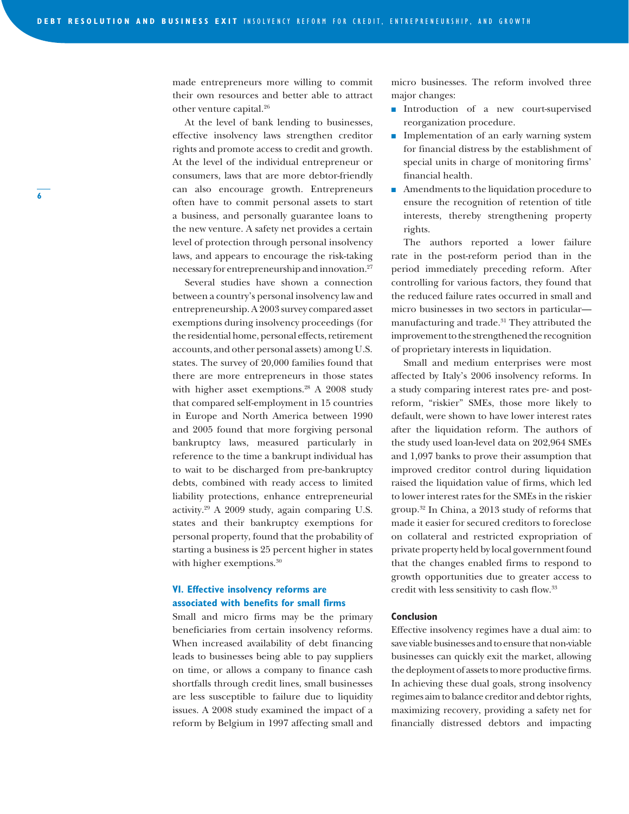made entrepreneurs more willing to commit their own resources and better able to attract other venture capital.26

At the level of bank lending to businesses, effective insolvency laws strengthen creditor rights and promote access to credit and growth. At the level of the individual entrepreneur or consumers, laws that are more debtor-friendly can also encourage growth. Entrepreneurs often have to commit personal assets to start a business, and personally guarantee loans to the new venture. A safety net provides a certain level of protection through personal insolvency laws, and appears to encourage the risk-taking necessary for entrepreneurship and innovation.27

Several studies have shown a connection between a country's personal insolvency law and entrepreneurship. A 2003 survey compared asset exemptions during insolvency proceedings (for the residential home, personal effects, retirement accounts, and other personal assets) among U.S. states. The survey of 20,000 families found that there are more entrepreneurs in those states with higher asset exemptions.<sup>28</sup> A 2008 study that compared self-employment in 15 countries in Europe and North America between 1990 and 2005 found that more forgiving personal bankruptcy laws, measured particularly in reference to the time a bankrupt individual has to wait to be discharged from pre-bankruptcy debts, combined with ready access to limited liability protections, enhance entrepreneurial activity.29 A 2009 study, again comparing U.S. states and their bankruptcy exemptions for personal property, found that the probability of starting a business is 25 percent higher in states with higher exemptions.<sup>30</sup>

#### **VI. Effective insolvency reforms are associated with benefits for small firms**

Small and micro firms may be the primary beneficiaries from certain insolvency reforms. When increased availability of debt financing leads to businesses being able to pay suppliers on time, or allows a company to finance cash shortfalls through credit lines, small businesses are less susceptible to failure due to liquidity issues. A 2008 study examined the impact of a reform by Belgium in 1997 affecting small and

micro businesses. The reform involved three major changes:

- **n** Introduction of a new court-supervised reorganization procedure.
- $\blacksquare$  Implementation of an early warning system for financial distress by the establishment of special units in charge of monitoring firms' financial health.
- $\blacksquare$  Amendments to the liquidation procedure to ensure the recognition of retention of title interests, thereby strengthening property rights.

The authors reported a lower failure rate in the post-reform period than in the period immediately preceding reform. After controlling for various factors, they found that the reduced failure rates occurred in small and micro businesses in two sectors in particular manufacturing and trade.<sup>31</sup> They attributed the improvement to the strengthened the recognition of proprietary interests in liquidation.

Small and medium enterprises were most affected by Italy's 2006 insolvency reforms. In a study comparing interest rates pre- and postreform, "riskier" SMEs, those more likely to default, were shown to have lower interest rates after the liquidation reform. The authors of the study used loan-level data on 202,964 SMEs and 1,097 banks to prove their assumption that improved creditor control during liquidation raised the liquidation value of firms, which led to lower interest rates for the SMEs in the riskier group.32 In China, a 2013 study of reforms that made it easier for secured creditors to foreclose on collateral and restricted expropriation of private property held by local government found that the changes enabled firms to respond to growth opportunities due to greater access to credit with less sensitivity to cash flow.33

#### **Conclusion**

Effective insolvency regimes have a dual aim: to save viable businesses and to ensure that non-viable businesses can quickly exit the market, allowing the deployment of assets to more productive firms. In achieving these dual goals, strong insolvency regimes aim to balance creditor and debtor rights, maximizing recovery, providing a safety net for financially distressed debtors and impacting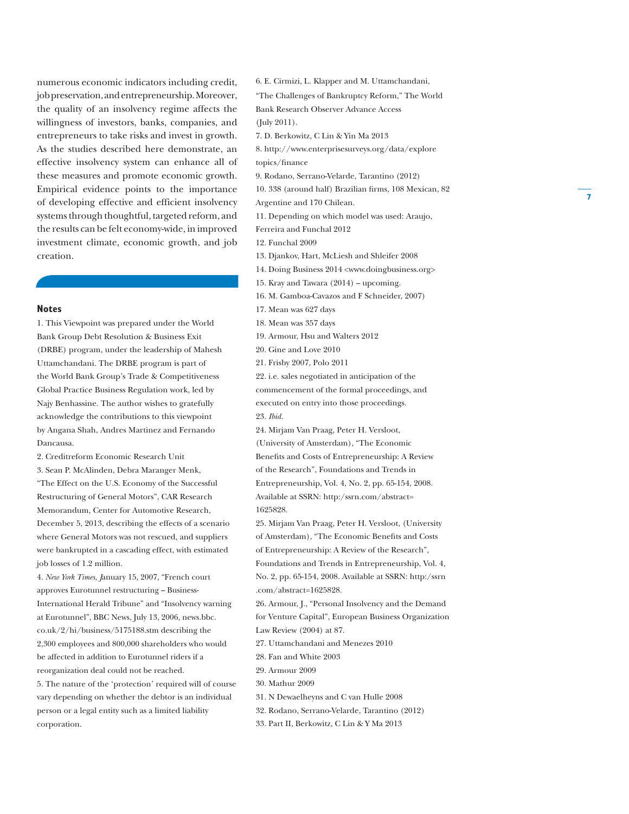numerous economic indicators including credit, job preservation, and entrepreneurship. Moreover, the quality of an insolvency regime affects the willingness of investors, banks, companies, and entrepreneurs to take risks and invest in growth. As the studies described here demonstrate, an effective insolvency system can enhance all of these measures and promote economic growth. Empirical evidence points to the importance of developing effective and efficient insolvency systems through thoughtful, targeted reform, and the results can be felt economy-wide, in improved investment climate, economic growth, and job creation.

#### **Notes**

1. This Viewpoint was prepared under the World Bank Group Debt Resolution & Business Exit (DRBE) program, under the leadership of Mahesh Uttamchandani. The DRBE program is part of the World Bank Group's Trade & Competitiveness Global Practice Business Regulation work, led by Najy Benhassine. The author wishes to gratefully acknowledge the contributions to this viewpoint by Angana Shah, Andres Martinez and Fernando Dancausa.

2. Creditreform Economic Research Unit 3. Sean P. McAlinden, Debra Maranger Menk, "The Effect on the U.S. Economy of the Successful Restructuring of General Motors", CAR Research Memorandum, Center for Automotive Research, December 5, 2013, describing the effects of a scenario where General Motors was not rescued, and suppliers were bankrupted in a cascading effect, with estimated job losses of 1.2 million.

4. *New York Times, J*anuary 15, 2007, "French court approves Eurotunnel restructuring – Business-International Herald Tribune" and "Insolvency warning at Eurotunnel", BBC News, July 13, 2006, news.bbc. co.uk/2/hi/business/5175188.stm describing the 2,300 employees and 800,000 shareholders who would be affected in addition to Eurotunnel riders if a reorganization deal could not be reached.

5. The nature of the 'protection' required will of course vary depending on whether the debtor is an individual person or a legal entity such as a limited liability corporation.

"The Challenges of Bankruptcy Reform," The World Bank Research Observer Advance Access (July 2011). 7. D. Berkowitz, C Lin & Yin Ma 2013 8. http://www.enterprisesurveys.org/data/explore topics/finance 9. Rodano, Serrano-Velarde, Tarantino (2012) 10. 338 (around half) Brazilian firms, 108 Mexican, 82 Argentine and 170 Chilean. 11. Depending on which model was used: Araujo, Ferreira and Funchal 2012 12. Funchal 2009 13. Djankov, Hart, McLiesh and Shleifer 2008 14. Doing Business 2014 <www.doingbusiness.org> 15. Kray and Tawara (2014) – upcoming. 16. M. Gamboa-Cavazos and F Schneider, 2007) 17. Mean was 627 days 18. Mean was 357 days 19. Armour, Hsu and Walters 2012 20. Gine and Love 2010 21. Frisby 2007, Polo 2011 22. i.e. sales negotiated in anticipation of the commencement of the formal proceedings, and executed on entry into those proceedings. 23. *Ibid.* 24. Mirjam Van Praag, Peter H. Versloot, (University of Amsterdam), "The Economic Benefits and Costs of Entrepreneurship: A Review of the Research", Foundations and Trends in Entrepreneurship, Vol. 4, No. 2, pp. 65-154, 2008. Available at SSRN: http:/ssrn.com/abstract=

6. E. Cirmizi, L. Klapper and M. Uttamchandani,

25. Mirjam Van Praag, Peter H. Versloot, (University of Amsterdam), "The Economic Benefits and Costs of Entrepreneurship: A Review of the Research", Foundations and Trends in Entrepreneurship, Vol. 4, No. 2, pp. 65-154, 2008. Available at SSRN: http:/ssrn .com/abstract=1625828.

26. Armour, J., "Personal Insolvency and the Demand for Venture Capital", European Business Organization Law Review (2004) at 87.

27. Uttamchandani and Menezes 2010

- 28. Fan and White 2003
- 29. Armour 2009

1625828.

- 30. Mathur 2009
- 31. N Dewaelheyns and C van Hulle 2008
- 32. Rodano, Serrano-Velarde, Tarantino (2012)
- 33. Part II, Berkowitz, C Lin & Y Ma 2013